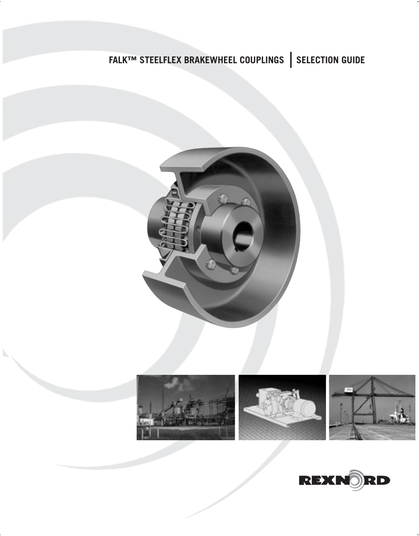# **FALK™ STEELFLEX BRAKEWHEEL COUPLINGS | SELECTION GUIDE**





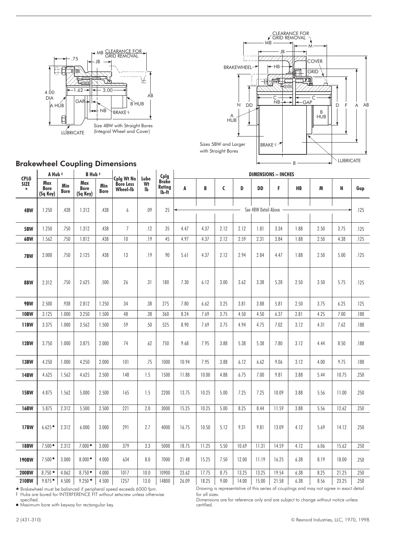



# Brakewheel Coupling Dimensions

| <b>CPLG</b><br><b>SIZE</b><br>$\star$ | A Hub #                        |                    | B Hub #                 |                    |                                     |                  |                                               | <b>DIMENSIONS - INCHES</b> |       |      |       |                      |       |      |      |       |        |  |
|---------------------------------------|--------------------------------|--------------------|-------------------------|--------------------|-------------------------------------|------------------|-----------------------------------------------|----------------------------|-------|------|-------|----------------------|-------|------|------|-------|--------|--|
|                                       | Max<br><b>Bore</b><br>(Sq Key) | Min<br><b>Bore</b> | Max<br>Bore<br>(Sq Key) | Min<br><b>Bore</b> | Cplg Wt No<br>Bore Less<br>Wheel-lb | Lube<br>Wt<br>lb | Cplg<br>Brake<br>Rating<br>lb-ft <sup>-</sup> | A                          | B     | C    | D     | DD                   | F     | HB   | M    | N     | Gap    |  |
| 4BW                                   | 1.250                          | .438               | 1.312                   | .438               | 6                                   | .09              | 25                                            |                            |       |      |       | See 4BW Detail Above |       |      |      |       | .125   |  |
|                                       |                                |                    |                         |                    |                                     |                  |                                               |                            |       |      |       |                      |       |      |      |       |        |  |
| 5BW                                   | 1.250                          | .750               | 1.312                   | .438               | $\overline{7}$                      | .12              | 35                                            | 4.47                       | 4.37  | 2.12 | 2.12  | 1.81                 | 3.34  | 1.88 | 2.50 | 3.75  | .125   |  |
| 6BW                                   | 1.562                          | .750               | 1.812                   | .438               | 10                                  | .19              | 45                                            | 4.97                       | 4.37  | 2.12 | 2.59  | 2.31                 | 3.84  | 1.88 | 2.50 | 4.38  | .125   |  |
| 7BW                                   | 2.000                          | .750               | 2.125                   | .438               | 13                                  | .19              | 90                                            | 5.61                       | 4.37  | 2.12 | 2.94  | 2.84                 | 4.47  | 1.88 | 2.50 | 5.00  | .125   |  |
| 8BW                                   | 2.312                          | .750               | 2.625                   | .500               | 26                                  | .31              | 180                                           | 7.30                       | 6.12  | 3.00 | 3.62  | 3.38                 | 5.28  | 2.50 | 3.50 | 5.75  | .125   |  |
| 9BW                                   | 2.500                          | .938               | 2.812                   | 1.250              | 34                                  | .38              | 275                                           | 7.80                       | 6.62  | 3.25 | 3.81  | 3.88                 | 5.81  | 2.50 | 3.75 | 6.25  | .125   |  |
| <b>10BW</b>                           | 3.125                          | 1.000              | 3.250                   | 1.500              | 48                                  | .38              | 360                                           | 8.24                       | 7.69  | 3.75 | 4.50  | 4.50                 | 6.37  | 2.81 | 4.25 | 7.00  | .188   |  |
| 11BW                                  | 3.375                          | 1.000              | 3.562                   | 1.500              | 59                                  | .50              | 525                                           | 8.90                       | 7.69  | 3.75 | 4.94  | 4.75                 | 7.02  | 3.12 | 4.31 | 7.62  | .188   |  |
| <b>12BW</b>                           | 3.750                          | 1.000              | 3.875                   | 2.000              | 74                                  | .62              | 750                                           | 9.68                       | 7.95  | 3.88 | 5.38  | 5.38                 | 7.80  | 3.12 | 4.44 | 8.50  | $.188$ |  |
| <b>13BW</b>                           | 4.250                          | 1.000              | 4.250                   | 2.000              | 101                                 | .75              | 1000                                          | 10.94                      | 7.95  | 3.88 | 6.12  | 6.62                 | 9.06  | 3.12 | 4.00 | 9.75  | .188   |  |
| <b>14BW</b>                           | 4.625                          | 1.562              | 4.625                   | 2.500              | 148                                 | 1.5              | 1500                                          | 11.88                      | 10.00 | 4.88 | 6.75  | 7.00                 | 9.81  | 3.88 | 5.44 | 10.75 | .250   |  |
| <b>15BW</b>                           | 4.875                          | 1.562              | 5.000                   | 2.500              | 165                                 | 1.5              | 2200                                          | 13.75                      | 10.25 | 5.00 | 7.25  | 7.25                 | 10.09 | 3.88 | 5.56 | 11.00 | .250   |  |
| <b>16BW</b>                           | 5.875                          | 2.312              | 5.500                   | 2.500              | 221                                 | 2.0              | 3000                                          | 15.25                      | 10.25 | 5.00 | 8.25  | 8.44                 | 11.59 | 3.88 | 5.56 | 12.62 | .250   |  |
| <b>17BW</b>                           | 6.625                          | 2.312              | 6.000                   | 3.000              | 291                                 | 2.7              | 4000                                          | 16.75                      | 10.50 | 5.12 | 9.31  | 9.81                 | 13.09 | 4.12 | 5.69 | 14.12 | .250   |  |
| <b>18BW</b>                           | $7.500 \bullet$                | 2.312              | $7.000$ $\bullet$       | 3.000              | 379                                 | 3.3              | 5000                                          | 18.75                      | 11.25 | 5.50 | 10.69 | 11.31                | 14.59 | 4.12 | 6.06 | 15.62 | .250   |  |
| <b>190BW</b>                          | $7.500 \bullet$                | 3.000              | $8.000 -$               | 4.000              | 634                                 | 8.0              | 7000                                          | 21.48                      | 15.25 | 7.50 | 12.00 | 11.19                | 16.25 | 6.38 | 8.19 | 18.00 | .250   |  |
| <b>200BW</b>                          | $8.750$ $\bullet$              | 4.062              | $8.750$ $\bullet$       | 4.000              | 1017                                | 10.0             | 10900                                         | 23.62                      | 17.75 | 8.75 | 13.25 | 13.25                | 19.54 | 6.38 | 8.25 | 21.25 | .250   |  |
| 210BW                                 | $9.875$ $\bullet$              | 4.500              | $9.250$ $\bullet$       | 4.500              | 1257                                | 13.0             | 14800                                         | 26.09                      | 18.25 | 9.00 | 14.00 | 15.00                | 21.58 | 6.38 | 8.56 | 23.25 | .250   |  |

 $\star$ 

‡ Hubs are bored for INTERFERENCE FIT without setscrew unless otherwise specified. - Maximum bore with keyway for rectangular key. certified.

 Brakewheel must be balanced if peripheral speed exceeds 6000 fpm. Drawing is representative of this series of couplings and may not agree in exact detail for all sizes.

Dimensions are for reference only and are subject to change without notice unless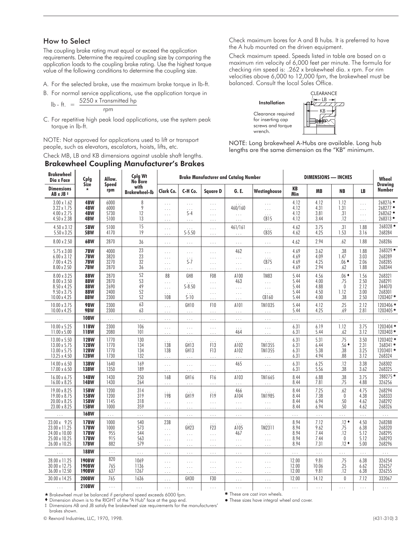# How to Select

The coupling brake rating must equal or exceed the application requirements. Determine the required coupling size by comparing the application loads to the coupling brake rating. Use the highest torque value of the following conditions to determine the coupling size.

- A. For the selected brake, use the maximum brake torque in lb-ft.
- B. For normal service applications, use the application torque in<br> $5250 \text{ u}$  Transmitted be

$$
lb - ft. = \frac{5250 \times Transmitted \text{ hp}}{rpm}
$$

C. For repetitive high peak load applications, use the system peak torque in lb-ft.

NOTE: Not approved for applications used to lift or transport people, such as elevators, escalators, hoists, lifts, etc.

### Check MB, LB and KB dimensions against usable shaft lengths. Brakewheel Coupling Manufacturer's Brakes

Check maximum bores for A and B hubs. It is preferred to have the A hub mounted on the driven equipment.

Check maximum speed. Speeds listed in table are based on a maximum rim velocity of 6,000 feet per minute. The formula for checking rim speed is: .262 x brakewheel dia. x rpm. For rim velocities above 6,000 to 12,000 fpm, the brakewheel must be balanced. Consult the local Sales Office.



NOTE: Long brakewheel A-Hubs are available. Long hub lengths are the same dimension as the "KB" minimum.

| <b>Brakewheel</b><br>Dia x Face                                                  | Cplg                                                                    | Allow.                               | Cplg Wt<br>No Bore              |                                                |                                                      | <b>Brake Manufacturer and Catalog Number</b>         |                                         |                                              |                                      | DIMENSIONS - INCHES                  |                                               |                                              | Wheel                                            |
|----------------------------------------------------------------------------------|-------------------------------------------------------------------------|--------------------------------------|---------------------------------|------------------------------------------------|------------------------------------------------------|------------------------------------------------------|-----------------------------------------|----------------------------------------------|--------------------------------------|--------------------------------------|-----------------------------------------------|----------------------------------------------|--------------------------------------------------|
| <b>Dimensions</b><br>AB x JB ‡                                                   | <b>Size</b>                                                             | <b>Speed</b><br>rpm                  | with<br><b>Brakewheel-lb</b>    | Clark Co.                                      | C-H Co.                                              | <b>Square D</b>                                      | G. E.                                   | Westinghouse                                 | KB<br>Min                            | <b>MB</b>                            | <b>NB</b>                                     | LB                                           | <b>Drawing</b><br><b>Number</b>                  |
| $3.00 \times 1.62$<br>$3.22 \times 1.75$<br>4.00 x 2.75<br>4.50 x 2.38           | 4BW<br>4BW<br>4BW<br>4BW                                                | 6000<br>6000<br>5730<br>5100         | 8<br>9<br>12<br>13              | .<br>.<br>.<br>.                               | .<br>$\ddot{s}$ -4<br>.                              | $\ldots$<br>$\ldots$<br>$\ldots$<br>$\ldots$         | 460/160<br>$\ldots$<br>$\ldots$         | .<br>.<br>CB15                               | 4.12<br>4.12<br>4.12<br>4.12         | 4.12<br>4.31<br>3.81<br>3.44         | 1.12<br>1.31<br>.31<br>.12                    | $\cdots$<br>$\ldots$<br>$\ldots$<br>$\ldots$ | 268276<br>268277<br>268262 •<br>268313           |
| 4.50 x 3.12<br>$5.50 \times 3.25$                                                | 5BW<br>5BW                                                              | 5100<br>4170                         | 15<br>19                        | .<br>.                                         | $S-5.50$                                             | $\cdots$<br>$\cdots$                                 | 461/161<br>$\cdots$                     | .<br><b>CB35</b>                             | 4.62<br>4.62                         | 3.75<br>4.25                         | .31<br>1.53                                   | 1.88<br>3.16                                 | 268328<br>268284                                 |
| 8.00 x 2.50                                                                      | 6BW                                                                     | 2870                                 | 36                              | .                                              | $\ldots$                                             | $\ldots$ .                                           | $\ldots$                                | $\ldots$                                     | 4.62                                 | 2.94                                 | .62                                           | 1.88                                         | 268286                                           |
| 5.75 x 3.00<br>$6.00 \times 3.12$<br>7.00 x 4.25<br>8.00 x 2.50                  | 7BW<br>7BW<br>7BW<br>7BW                                                | 4000<br>3820<br>3270<br>2870         | 23<br>23<br>32<br>36            | .<br>.<br>.<br>.                               | $\ldots$<br>$S-7$<br>$\cdots$                        | $\ldots$<br>$\ldots$<br>$\ldots$<br>$\cdots$         | 462<br>$\ldots$<br>$\ldots$<br>$\ldots$ | $\ldots$<br>CB75<br>$\ldots$                 | 4.69<br>4.69<br>4.69<br>4.69         | 3.62<br>4.09<br>4.25<br>2.94         | .38<br>1.47<br>$.06$ $*$<br>.62               | 1.88<br>3.03<br>2.06<br>1.88                 | 268329<br>268289<br>268285<br>268344             |
| 8.00 x 3.25<br>8.00 x 3.50<br>8.50 x 4.25<br>$9.50 \times 3.75$<br>10.00 x 4.25  | 8BW<br>8BW<br>8BW<br>8BW<br>8BW                                         | 2870<br>2870<br>2690<br>2400<br>2300 | 52<br>53<br>49<br>52<br>52      | 8B<br>.<br>.<br>10B                            | GH <sub>8</sub><br>$S-8.50$<br>$S-10$                | F <sub>08</sub><br>$\cdots$<br>$\cdots$<br>$\cdots$  | A100<br>463<br>$\ldots$<br>$\ldots$     | <b>TM83</b><br>$\ldots$<br>$\ldots$<br>CB160 | 5.44<br>5.44<br>5.44<br>5.44<br>5.44 | 4.56<br>4.00<br>4.88<br>4.50<br>4.00 | $.06$ $*$<br>.75<br>$\theta$<br>1.12<br>.38   | 1.56<br>2.50<br>2.12<br>3.00<br>2.50         | 268321<br>268291<br>344070<br>268301<br>1203407* |
| 10.00 x 3.75<br>10.00 x 4.25                                                     | 9BW<br>9BW                                                              | 2300<br>2300                         | 63<br>63                        | $\cdots$<br>.                                  | GH <sub>10</sub><br>$\cdots$                         | F <sub>10</sub><br>$\ldots$                          | A101<br>$\ldots$                        | TM1035<br>$\ldots$                           | 5.44<br>5.44                         | 4.12<br>4.25                         | .25<br>.69                                    | 2.12<br>2.81                                 | 1203406 *<br>1203405*                            |
| $\ddot{\phantom{a}}$                                                             | <b>10BW</b>                                                             | $\cdots$                             | $\cdots$                        | $\cdots$                                       | .                                                    | $\cdots$                                             | .                                       | .                                            | $\cdots$                             | $\ldots$                             | $\cdots$                                      | $\ldots$                                     |                                                  |
| 10.00 x 5.25<br>$11.00 \times 5.00$                                              | <b>11BW</b><br><b>11BW</b>                                              | 2300<br>2080                         | 106<br>101                      | $\cdots$<br>.                                  | $\ldots$<br>.                                        | $\ldots$<br>$\cdots$                                 | 464                                     | $\ldots$<br>.                                | 6.31<br>6.31                         | 6.19<br>5.44                         | 1.12<br>.62                                   | 3.75<br>3.12                                 | 1203404*<br>1203403 *                            |
| 13.00 x 5.50<br>13.00 x 5.75<br>13.00 x 5.75<br>13.25 x 4.50                     | <b>12BW</b><br><b>12BW</b><br><b>12BW</b><br><b>12BW</b>                | 1770<br>1770<br>1770<br>1730         | 130<br>134<br>134<br>132        | 13B<br>13B<br>.                                | GH <sub>13</sub><br>GH <sub>13</sub><br>$\ldots$     | $\overline{F}$ 13<br>F <sub>1</sub> 3<br>$\ldots$ .  | A102<br>A102<br>$\ldots$                | TM1355<br><b>TM1355</b><br>$\ldots$          | 6.31<br>6.31<br>6.31<br>6.31         | 5.31<br>6.44<br>5.38<br>4.94         | .75<br>$.56*$<br>.38<br>.88                   | 3.50<br>2.31<br>3.25<br>3.12                 | 1203402 *<br>268341 *<br>1203401 *<br>268324     |
| 14.00 x 6.50<br>17.00 x 6.50                                                     | <b>13BW</b><br><b>13BW</b>                                              | 1640<br>1350                         | 169<br>189                      | .<br>.                                         | .<br>$\ldots$                                        | $\cdots$<br>$\ldots$                                 | 465<br>.                                | $\cdots$<br>.                                | 6.31<br>6.31                         | 6.25<br>5.56                         | .12<br>.38                                    | 3.38<br>3.62                                 | 268302<br>268325                                 |
| 16.00 x 6.75<br>16.00 x 8.25                                                     | <b>14BW</b><br><b>14BW</b>                                              | 1430<br>1430                         | 250<br>264                      | 16B<br>.                                       | GH <sub>16</sub><br>$\ldots$ .                       | F <sub>16</sub><br>$\ldots$                          | A103<br>$\ldots$                        | TM1665<br>$\ldots$                           | 8.44<br>8.44                         | 6.88<br>7.81                         | .38<br>.75                                    | 3.75<br>4.88                                 | 288275*<br>326256                                |
| 19.00 x 8.25<br>19.00 x 8.75<br>20.00 x 8.25<br>23.00 x 8.25                     | <b>15BW</b><br><b>15BW</b><br><b>15BW</b><br><b>15BW</b>                | 1200<br>1200<br>1145<br>1000         | 314<br>319<br>318<br>359        | 19B<br>.<br>$\cdots$                           | GH <sub>19</sub><br>$\ldots$<br>$\cdots$             | F <sub>19</sub><br>$\cdots$<br>$\ldots$              | 466<br>A104<br>$\ldots$<br>.            | TM1985<br>$\ldots$<br>.                      | 8.44<br>8.44<br>8.44<br>8.44         | 7.25<br>7.38<br>6.94<br>6.94         | .62<br>$\theta$<br>.50<br>.50                 | 4.75<br>4.38<br>4.62<br>4.62                 | 268294<br>268333<br>268292<br>268326             |
| $\ddot{\phantom{0}}$                                                             | <b>16BW</b>                                                             | $\ldots$                             | $\ldots$                        | .                                              | $\ldots$                                             | $\ldots$                                             | $\ldots$                                | $\ldots$                                     | $\ldots$                             | $\ldots$                             | .                                             | $\ldots$                                     | $\ldots$                                         |
| 23.00 x 9.25<br>23.00 x 11.25<br>24.00 x 10.00<br>25.00 x 10.25<br>26.00 x 10.25 | <b>17BW</b><br><b>17BW</b><br><b>17BW</b><br><b>17BW</b><br><b>17BW</b> | 1000<br>1000<br>955<br>915<br>882    | 540<br>573<br>544<br>563<br>579 | 23B<br>$\ldots$<br>.<br>$\cdots$<br>$\ldots$ . | GH <sub>23</sub><br>$\cdots$<br>$\cdots$<br>$\cdots$ | F <sub>2</sub> 3<br>$\cdots$<br>$\ldots$<br>$\ldots$ | A105<br>467<br>$\ldots$<br>$\ldots$     | TM2311<br>$\cdots$<br>$\ldots$<br>$\ldots$   | 8.94<br>8.94<br>8.94<br>8.94<br>8.94 | 7.12<br>9.62<br>7.44<br>7.44<br>7.31 | $.12*$<br>.75<br>.12<br>$\mathbf 0$<br>$.12*$ | 4.50<br>6.38<br>5.12<br>5.12<br>5.00         | 268288<br>268320<br>268295<br>268293<br>268296   |
| .                                                                                | <b>18BW</b>                                                             | $\cdots$                             | $\cdots$                        | .                                              | .                                                    | $\ldots$                                             | .                                       | $\cdots$                                     | $\cdots$                             | $\cdots$                             | $\cdots$                                      | $\cdots$                                     | $\cdots$                                         |
| 28.00 x 11.25<br>30.00 x 12.75<br>36.00 x 12.50                                  | <b>190BW</b><br><b>190BW</b><br><b>190BW</b>                            | 820<br>765<br>637                    | 1069<br>1136<br>1267            | .<br>.<br>.                                    | $\cdots$<br>.                                        | $\ldots$<br>$\cdots$<br>.                            | .<br>.<br>.                             | $\ldots$<br>$\ldots$<br>.                    | 12.00<br>12.00<br>12.00              | 9.81<br>10.06<br>9.81                | .75<br>.25<br>.12                             | 6.38<br>6.62<br>6.38                         | 326254<br>326257<br>326255                       |
| 30.00 x 14.25                                                                    | <b>200BW</b>                                                            | 765                                  | 1636                            | .                                              | GH <sub>30</sub>                                     | F30                                                  | $\ldots$                                | $\ldots$                                     | 12.00                                | 14.12                                | $\mathbf{0}$                                  | 7.12                                         | 332067                                           |
|                                                                                  | <b>210BW</b>                                                            | $\ldots$                             |                                 | $\cdots$                                       |                                                      |                                                      | .                                       | $\cdots$                                     |                                      |                                      | $\cdots$                                      | $\cdots$                                     |                                                  |

- Brakewheel must be balanced if peripheral speed exceeds 6000 fpm. These are cast iron wheels. Dimension shown is to the RIGHT of the "A Hub" face at the gap end. -

These sizes have integral wheel and cover.

‡ Dimensions AB and JB satisfy the brakewheel size requirements for the manufacturers' brakes shown.

© Rexnord Industries, LLC, 1970, 1998. (431-310) 3